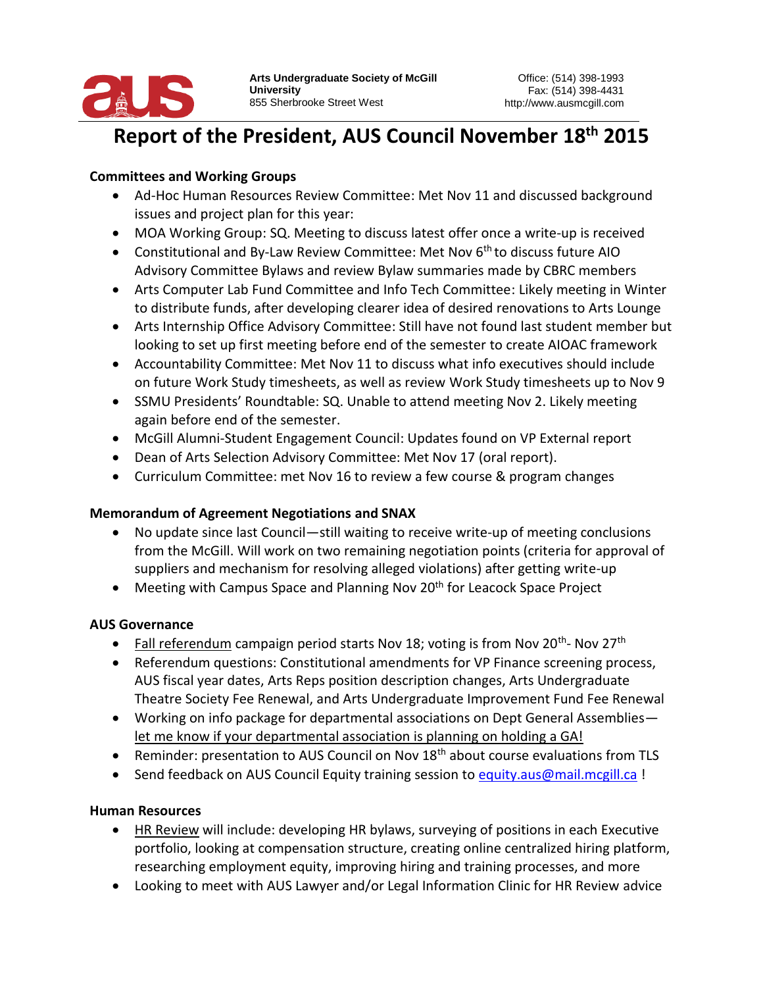

#### Report of the President, AUS Council November 18<sup>th</sup> 2015 resident, AUS

## **Committees and Working Groups**

- Ad-Hoc Human Resources Review Committee: Met Nov 11 and discussed background issues and project plan for this year:
- MOA Working Group: SQ. Meeting to discuss latest offer once a write-up is received
- Constitutional and By-Law Review Committee: Met Nov  $6<sup>th</sup>$  to discuss future AIO Advisory Committee Bylaws and review Bylaw summaries made by CBRC members
- Arts Computer Lab Fund Committee and Info Tech Committee: Likely meeting in Winter to distribute funds, after developing clearer idea of desired renovations to Arts Lounge
- Arts Internship Office Advisory Committee: Still have not found last student member but looking to set up first meeting before end of the semester to create AIOAC framework
- Accountability Committee: Met Nov 11 to discuss what info executives should include on future Work Study timesheets, as well as review Work Study timesheets up to Nov 9
- SSMU Presidents' Roundtable: SQ. Unable to attend meeting Nov 2. Likely meeting again before end of the semester.
- McGill Alumni-Student Engagement Council: Updates found on VP External report
- Dean of Arts Selection Advisory Committee: Met Nov 17 (oral report).
- Curriculum Committee: met Nov 16 to review a few course & program changes

## **Memorandum of Agreement Negotiations and SNAX**

- No update since last Council—still waiting to receive write-up of meeting conclusions from the McGill. Will work on two remaining negotiation points (criteria for approval of suppliers and mechanism for resolving alleged violations) after getting write-up
- Meeting with Campus Space and Planning Nov 20<sup>th</sup> for Leacock Space Project

# **AUS Governance**

- Fall referendum campaign period starts Nov 18; voting is from Nov 20<sup>th</sup>-Nov 27<sup>th</sup>
- Referendum questions: Constitutional amendments for VP Finance screening process, AUS fiscal year dates, Arts Reps position description changes, Arts Undergraduate Theatre Society Fee Renewal, and Arts Undergraduate Improvement Fund Fee Renewal
- Working on info package for departmental associations on Dept General Assemblies let me know if your departmental association is planning on holding a GA!
- **•** Reminder: presentation to AUS Council on Nov  $18<sup>th</sup>$  about course evaluations from TLS
- Send feedback on AUS Council Equity training session to [equity.aus@mail.mcgill.ca](mailto:equity.aus@mail.mcgill.ca) !

## **Human Resources**

- HR Review will include: developing HR bylaws, surveying of positions in each Executive portfolio, looking at compensation structure, creating online centralized hiring platform, researching employment equity, improving hiring and training processes, and more
- Looking to meet with AUS Lawyer and/or Legal Information Clinic for HR Review advice